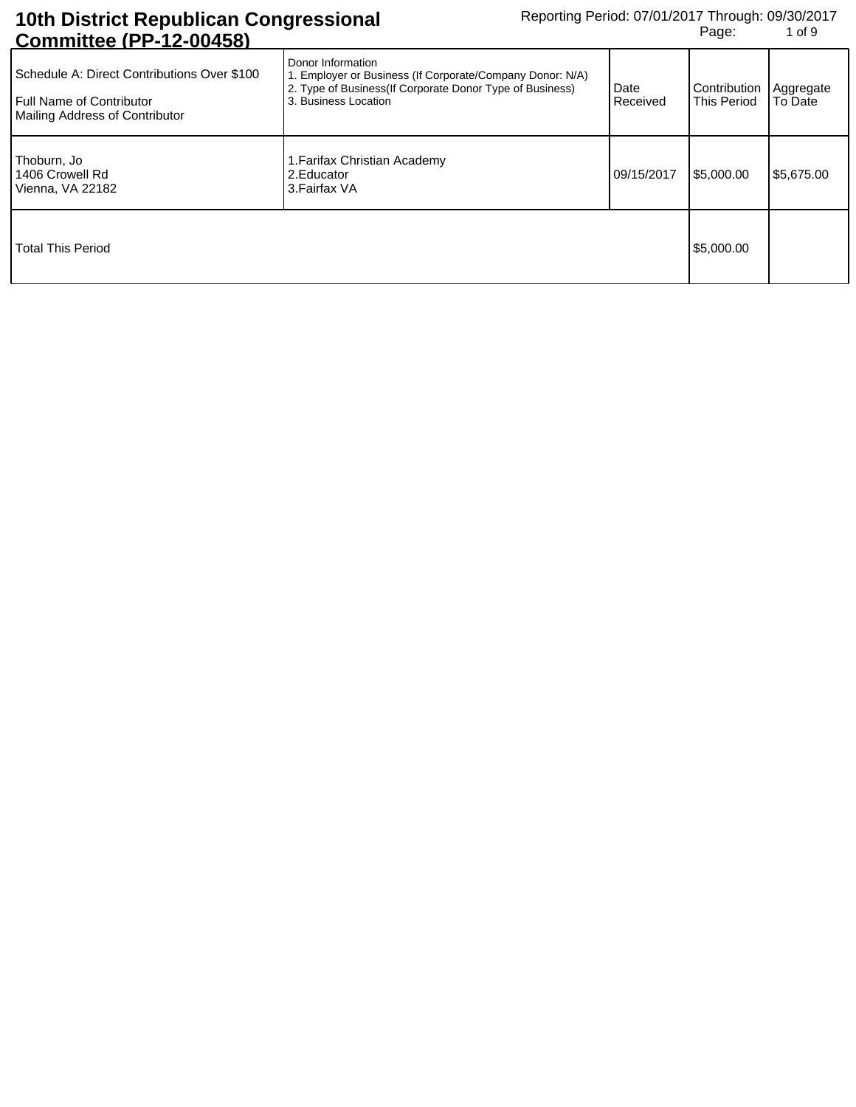| <b>UUIIIIIIIIIUUU II IL UUTUUI</b>                                                                        |                                                                                                                                                                     |                  |                             |                      |
|-----------------------------------------------------------------------------------------------------------|---------------------------------------------------------------------------------------------------------------------------------------------------------------------|------------------|-----------------------------|----------------------|
| Schedule A: Direct Contributions Over \$100<br>Full Name of Contributor<br>Mailing Address of Contributor | Donor Information<br>1. Employer or Business (If Corporate/Company Donor: N/A)<br>2. Type of Business (If Corporate Donor Type of Business)<br>3. Business Location | Date<br>Received | Contribution<br>This Period | Aggregate<br>To Date |
| Thoburn, Jo<br>1406 Crowell Rd<br>Vienna, VA 22182                                                        | 1. Farifax Christian Academy<br>2. Educator<br>3. Fairfax VA                                                                                                        | 09/15/2017       | \$5,000.00                  | \$5,675.00           |
| <b>Total This Period</b>                                                                                  |                                                                                                                                                                     |                  | \$5,000.00                  |                      |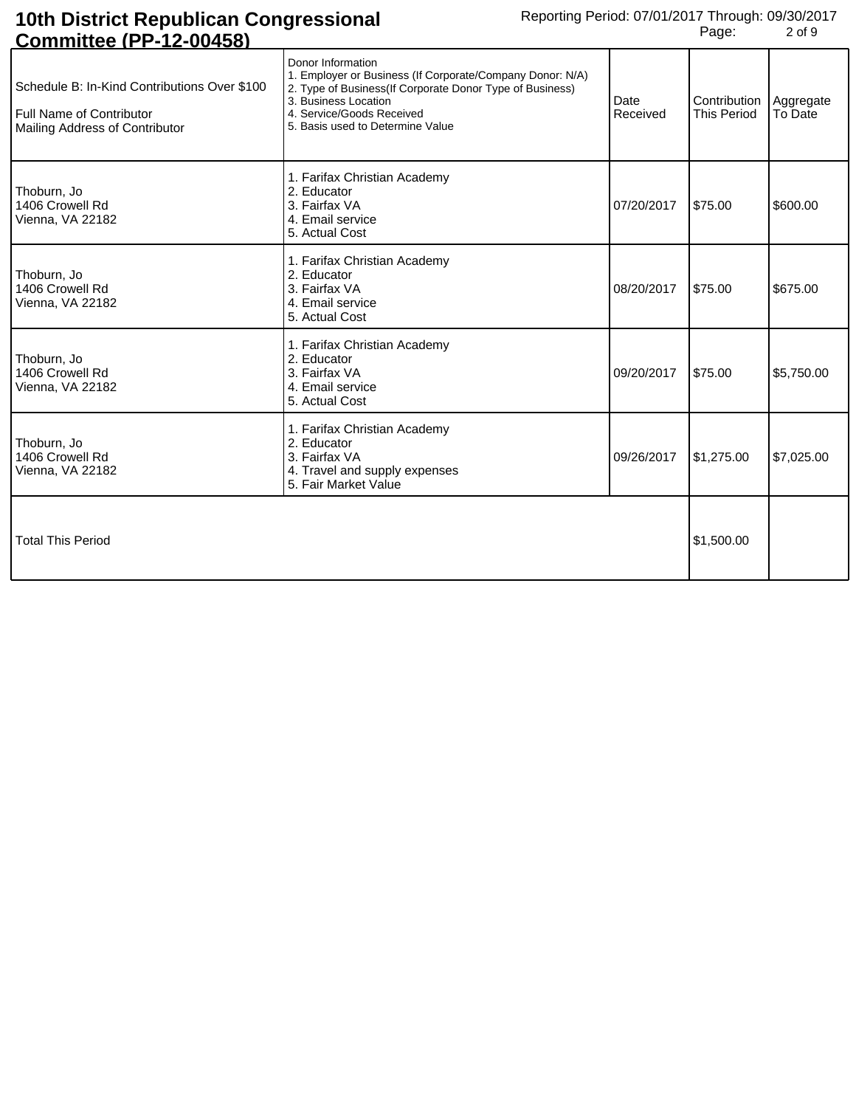| <u>,,,,,,,,,,,,,,,</u>                                                                                     |                                                                                                                                                                                                                                     |                  |                                    |                      |
|------------------------------------------------------------------------------------------------------------|-------------------------------------------------------------------------------------------------------------------------------------------------------------------------------------------------------------------------------------|------------------|------------------------------------|----------------------|
| Schedule B: In-Kind Contributions Over \$100<br>Full Name of Contributor<br>Mailing Address of Contributor | Donor Information<br>1. Employer or Business (If Corporate/Company Donor: N/A)<br>2. Type of Business(If Corporate Donor Type of Business)<br>3. Business Location<br>4. Service/Goods Received<br>5. Basis used to Determine Value | Date<br>Received | Contribution<br><b>This Period</b> | Aggregate<br>To Date |
| Thoburn, Jo<br>1406 Crowell Rd<br>Vienna, VA 22182                                                         | 1. Farifax Christian Academy<br>2. Educator<br>3. Fairfax VA<br>4. Email service<br>5. Actual Cost                                                                                                                                  | 07/20/2017       | \$75.00                            | \$600.00             |
| Thoburn, Jo<br>1406 Crowell Rd<br>Vienna, VA 22182                                                         | 1. Farifax Christian Academy<br>2. Educator<br>3. Fairfax VA<br>4. Email service<br>5. Actual Cost                                                                                                                                  | 08/20/2017       | \$75.00                            | \$675.00             |
| Thoburn, Jo<br>1406 Crowell Rd<br>Vienna, VA 22182                                                         | 1. Farifax Christian Academy<br>2. Educator<br>3. Fairfax VA<br>4. Email service<br>5. Actual Cost                                                                                                                                  | 09/20/2017       | \$75.00                            | \$5,750.00           |
| Thoburn, Jo<br>1406 Crowell Rd<br>Vienna, VA 22182                                                         | 1. Farifax Christian Academy<br>2. Educator<br>3. Fairfax VA<br>4. Travel and supply expenses<br>5. Fair Market Value                                                                                                               | 09/26/2017       | \$1,275.00                         | \$7,025.00           |
| <b>Total This Period</b>                                                                                   |                                                                                                                                                                                                                                     |                  | \$1,500.00                         |                      |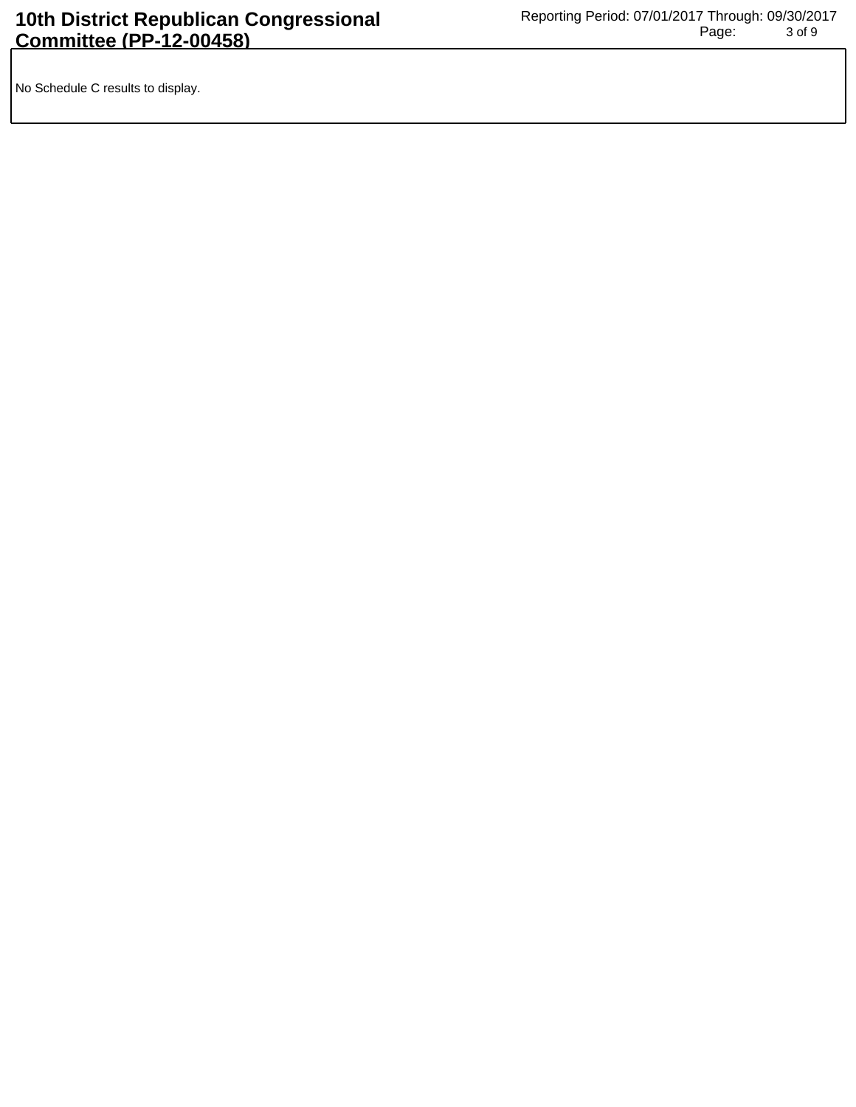No Schedule C results to display.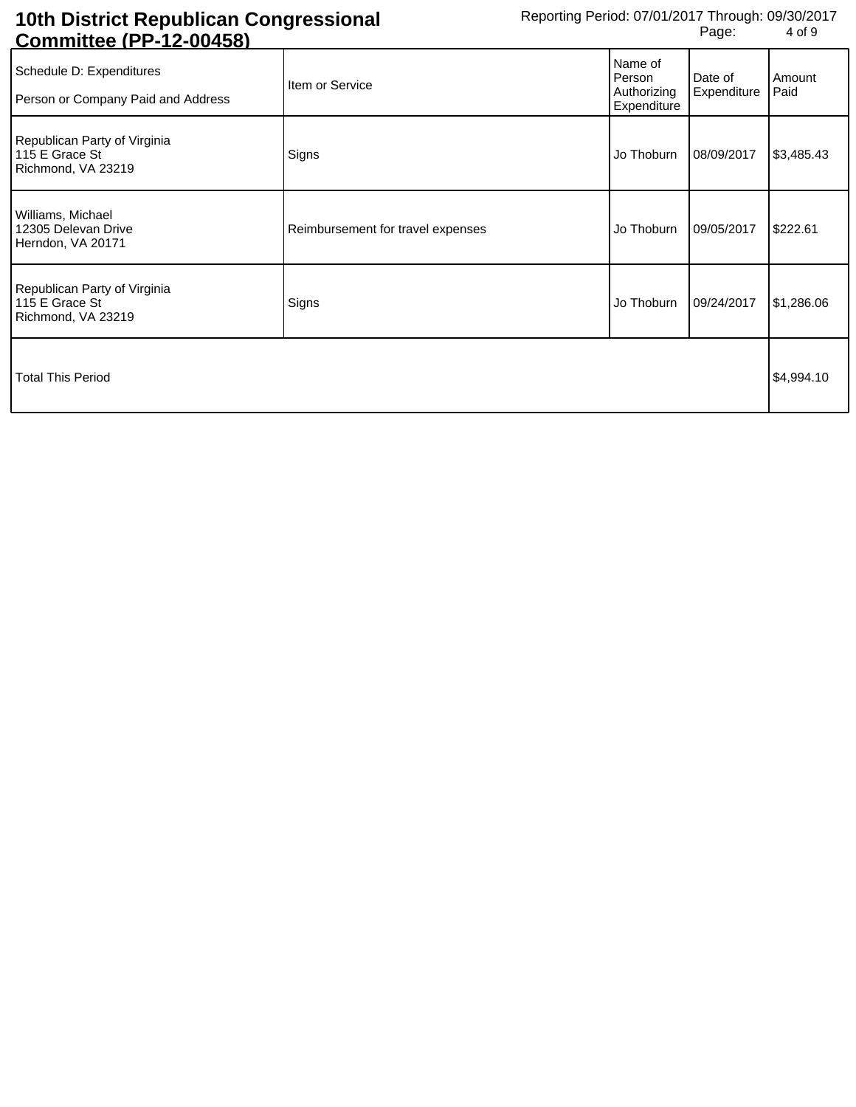| <u> COINNINUEE (FF-12-00430)</u>                                     |                                   |                                                 |                        |                |
|----------------------------------------------------------------------|-----------------------------------|-------------------------------------------------|------------------------|----------------|
| Schedule D: Expenditures<br>Person or Company Paid and Address       | Item or Service                   | Name of<br>Person<br>Authorizing<br>Expenditure | Date of<br>Expenditure | Amount<br>Paid |
| Republican Party of Virginia<br>115 E Grace St<br>Richmond, VA 23219 | Signs                             | Jo Thoburn                                      | 08/09/2017             | \$3,485.43     |
| Williams, Michael<br>12305 Delevan Drive<br>Herndon, VA 20171        | Reimbursement for travel expenses | Jo Thoburn                                      | 09/05/2017             | \$222.61       |
| Republican Party of Virginia<br>115 E Grace St<br>Richmond, VA 23219 | Signs                             | Jo Thoburn                                      | 09/24/2017             | \$1,286.06     |
| Total This Period                                                    |                                   |                                                 | \$4,994.10             |                |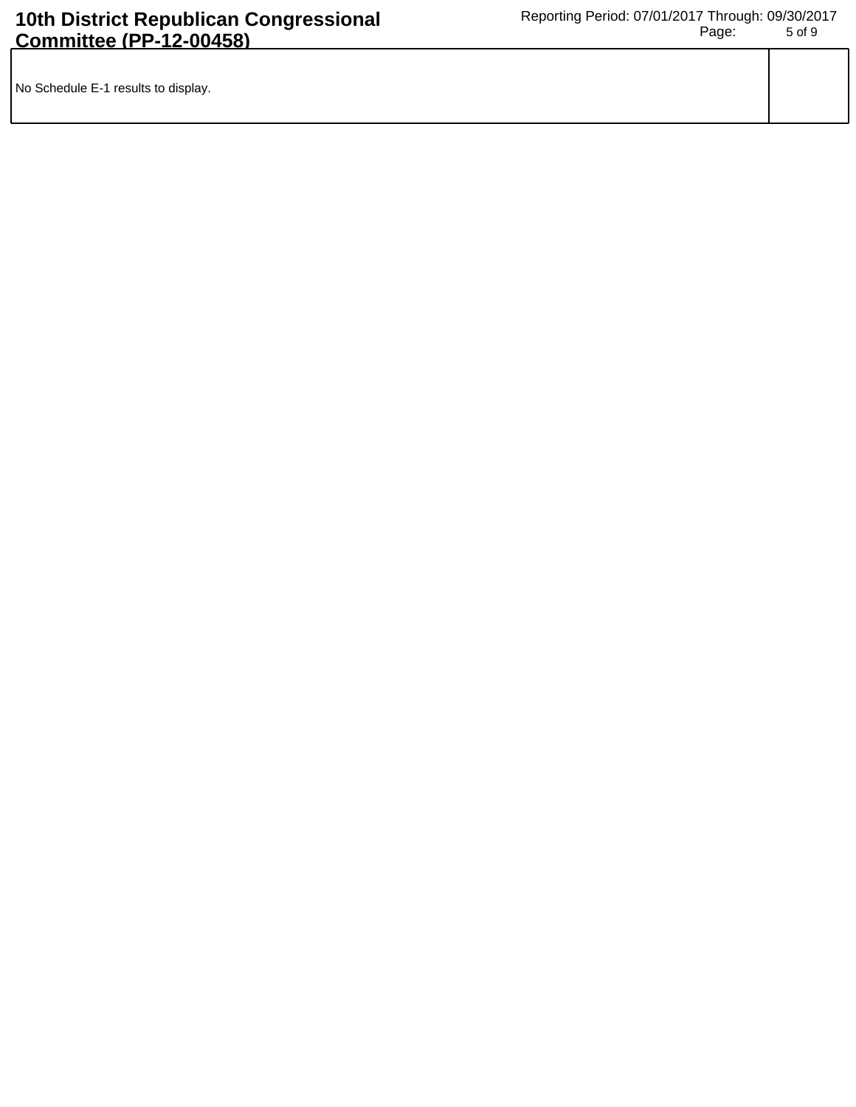| No Schedule E-1 results to display. |  |
|-------------------------------------|--|
|                                     |  |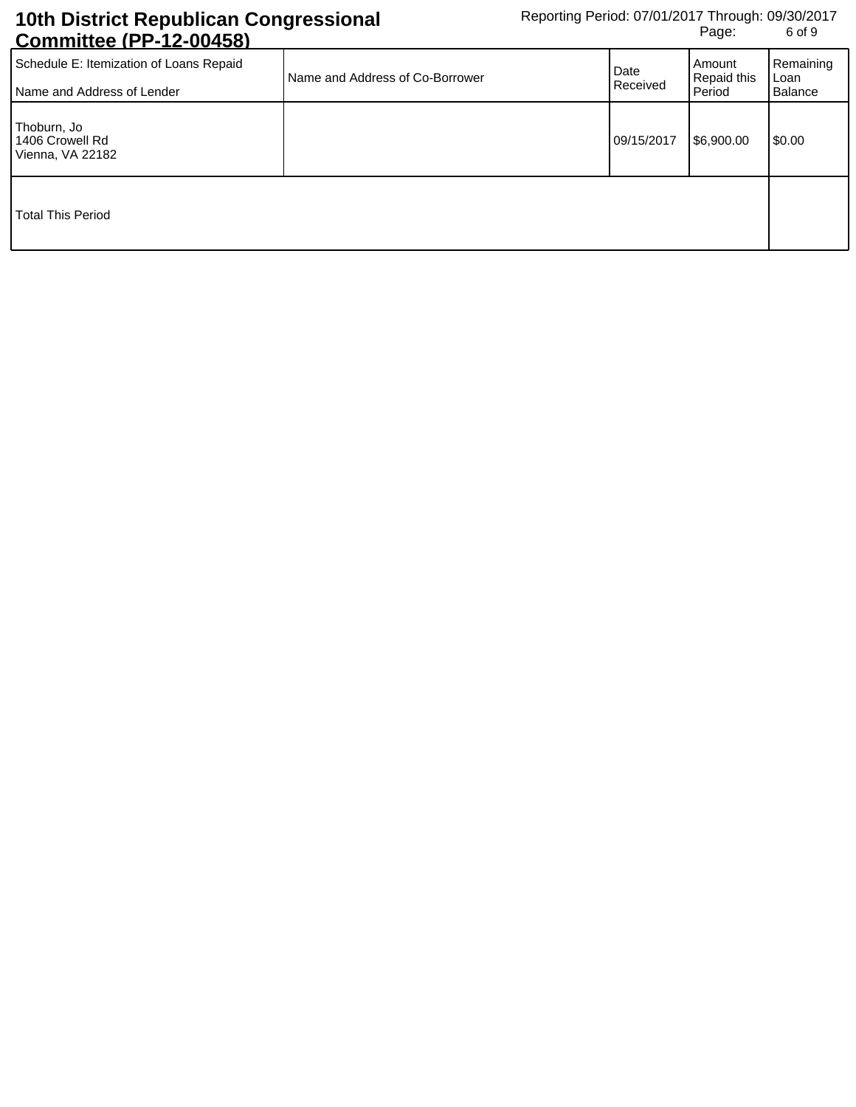| Schedule E: Itemization of Loans Repaid<br>Name and Address of Lender | Name and Address of Co-Borrower | Date<br>Received | Amount<br><b>Repaid this</b><br>Period | Remaining<br>Loan<br><b>Balance</b> |
|-----------------------------------------------------------------------|---------------------------------|------------------|----------------------------------------|-------------------------------------|
| Thoburn, Jo<br>1406 Crowell Rd<br>Vienna, VA 22182                    |                                 | 09/15/2017       | \$6,900.00                             | \$0.00                              |
| <b>Total This Period</b>                                              |                                 |                  |                                        |                                     |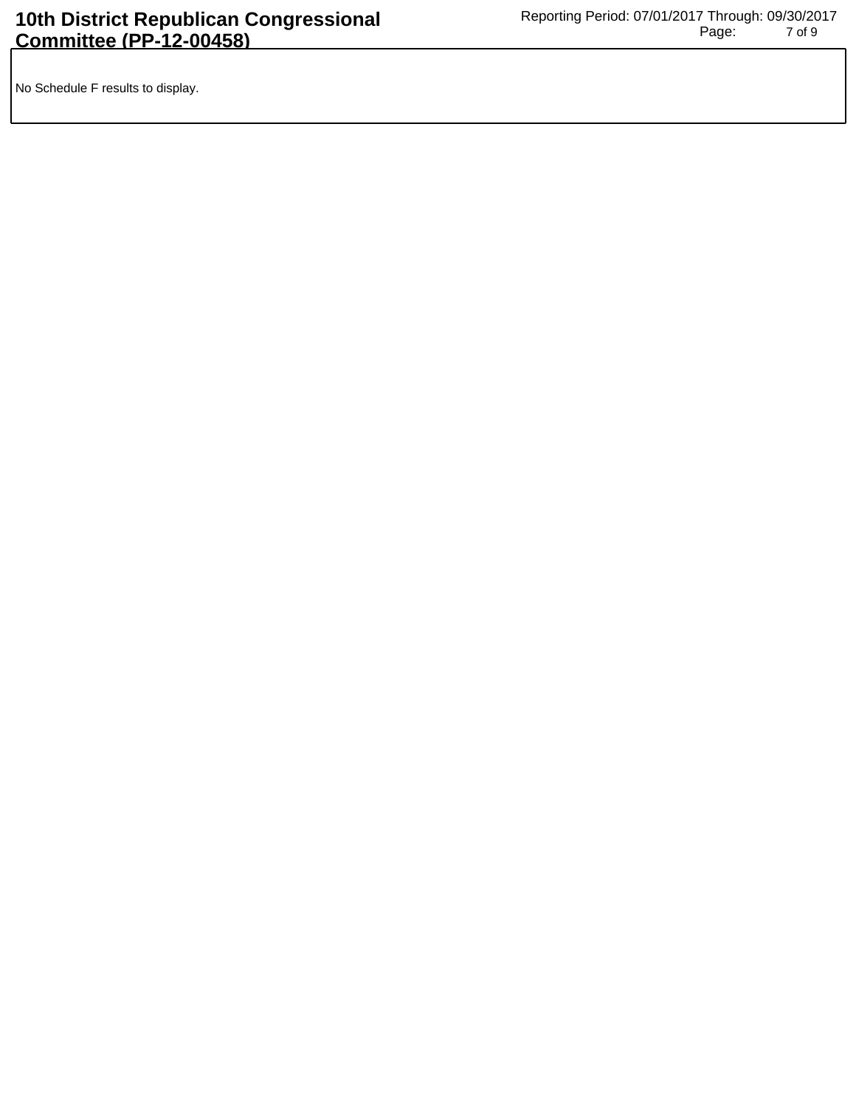No Schedule F results to display.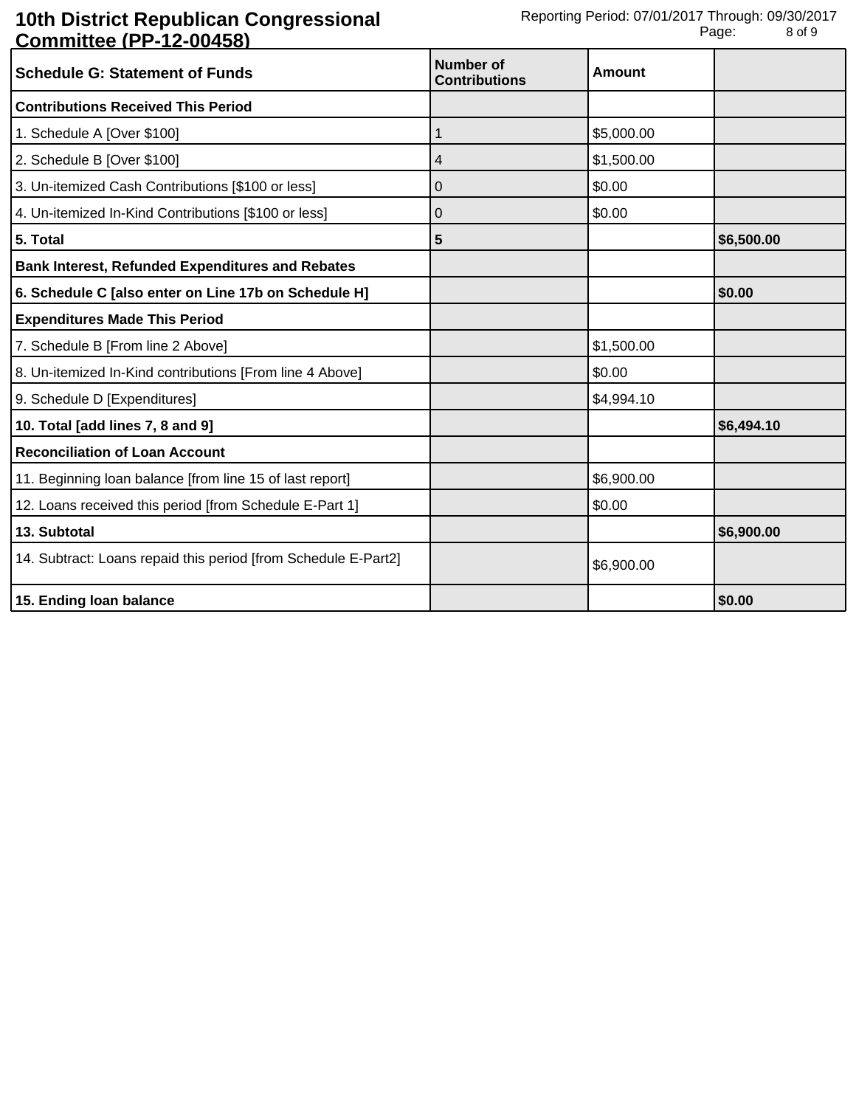| <b>Schedule G: Statement of Funds</b>                          | Number of<br><b>Contributions</b> | Amount     |            |
|----------------------------------------------------------------|-----------------------------------|------------|------------|
| <b>Contributions Received This Period</b>                      |                                   |            |            |
| 1. Schedule A [Over \$100]                                     |                                   | \$5,000.00 |            |
| 2. Schedule B [Over \$100]                                     | 4                                 | \$1,500.00 |            |
| 3. Un-itemized Cash Contributions [\$100 or less]              | 0                                 | \$0.00     |            |
| 4. Un-itemized In-Kind Contributions [\$100 or less]           | 0                                 | \$0.00     |            |
| 5. Total                                                       | 5                                 |            | \$6,500.00 |
| <b>Bank Interest, Refunded Expenditures and Rebates</b>        |                                   |            |            |
| 6. Schedule C [also enter on Line 17b on Schedule H]           |                                   |            | \$0.00     |
| <b>Expenditures Made This Period</b>                           |                                   |            |            |
| 7. Schedule B [From line 2 Above]                              |                                   | \$1,500.00 |            |
| 8. Un-itemized In-Kind contributions [From line 4 Above]       |                                   | \$0.00     |            |
| 9. Schedule D [Expenditures]                                   |                                   | \$4,994.10 |            |
| 10. Total [add lines 7, 8 and 9]                               |                                   |            | \$6,494.10 |
| <b>Reconciliation of Loan Account</b>                          |                                   |            |            |
| 11. Beginning loan balance [from line 15 of last report]       |                                   | \$6,900.00 |            |
| 12. Loans received this period [from Schedule E-Part 1]        |                                   | \$0.00     |            |
| 13. Subtotal                                                   |                                   |            | \$6,900.00 |
| 14. Subtract: Loans repaid this period [from Schedule E-Part2] |                                   | \$6,900.00 |            |
| 15. Ending loan balance                                        |                                   |            | \$0.00     |